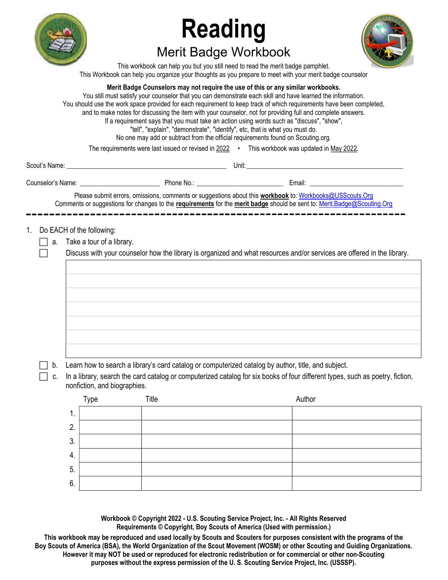

5. 6.

# Reading Merit Badge Workbook



This workbook can help you but you still need to read the merit badge pamphlet. This Workbook can help you organize your thoughts as you prepare to meet with your merit badge counselor

|    |                |                                                                                                                                                               | Merit Badge Counselors may not require the use of this or any similar workbooks.<br>If a requirement says that you must take an action using words such as "discuss", "show",<br>"tell", "explain", "demonstrate", "identify", etc, that is what you must do.<br>No one may add or subtract from the official requirements found on Scouting.org.<br>The requirements were last issued or revised in 2022 . This workbook was updated in May 2022. | You still must satisfy your counselor that you can demonstrate each skill and have learned the information.<br>You should use the work space provided for each requirement to keep track of which requirements have been completed,<br>and to make notes for discussing the item with your counselor, not for providing full and complete answers. |  |  |  |  |
|----|----------------|---------------------------------------------------------------------------------------------------------------------------------------------------------------|----------------------------------------------------------------------------------------------------------------------------------------------------------------------------------------------------------------------------------------------------------------------------------------------------------------------------------------------------------------------------------------------------------------------------------------------------|----------------------------------------------------------------------------------------------------------------------------------------------------------------------------------------------------------------------------------------------------------------------------------------------------------------------------------------------------|--|--|--|--|
|    |                |                                                                                                                                                               |                                                                                                                                                                                                                                                                                                                                                                                                                                                    |                                                                                                                                                                                                                                                                                                                                                    |  |  |  |  |
|    |                |                                                                                                                                                               |                                                                                                                                                                                                                                                                                                                                                                                                                                                    |                                                                                                                                                                                                                                                                                                                                                    |  |  |  |  |
|    |                |                                                                                                                                                               |                                                                                                                                                                                                                                                                                                                                                                                                                                                    | Please submit errors, omissions, comments or suggestions about this workbook to: Workbooks@USScouts.Org<br>Comments or suggestions for changes to the requirements for the merit badge should be sent to: Merit.Badge@Scouting.Org                                                                                                                 |  |  |  |  |
| 1. |                | Do EACH of the following:                                                                                                                                     |                                                                                                                                                                                                                                                                                                                                                                                                                                                    |                                                                                                                                                                                                                                                                                                                                                    |  |  |  |  |
|    |                | a. Take a tour of a library.                                                                                                                                  |                                                                                                                                                                                                                                                                                                                                                                                                                                                    |                                                                                                                                                                                                                                                                                                                                                    |  |  |  |  |
|    |                |                                                                                                                                                               |                                                                                                                                                                                                                                                                                                                                                                                                                                                    | Discuss with your counselor how the library is organized and what resources and/or services are offered in the library.                                                                                                                                                                                                                            |  |  |  |  |
|    |                |                                                                                                                                                               |                                                                                                                                                                                                                                                                                                                                                                                                                                                    |                                                                                                                                                                                                                                                                                                                                                    |  |  |  |  |
|    |                |                                                                                                                                                               |                                                                                                                                                                                                                                                                                                                                                                                                                                                    |                                                                                                                                                                                                                                                                                                                                                    |  |  |  |  |
|    |                |                                                                                                                                                               |                                                                                                                                                                                                                                                                                                                                                                                                                                                    |                                                                                                                                                                                                                                                                                                                                                    |  |  |  |  |
|    |                |                                                                                                                                                               |                                                                                                                                                                                                                                                                                                                                                                                                                                                    |                                                                                                                                                                                                                                                                                                                                                    |  |  |  |  |
|    |                |                                                                                                                                                               |                                                                                                                                                                                                                                                                                                                                                                                                                                                    |                                                                                                                                                                                                                                                                                                                                                    |  |  |  |  |
|    |                |                                                                                                                                                               |                                                                                                                                                                                                                                                                                                                                                                                                                                                    |                                                                                                                                                                                                                                                                                                                                                    |  |  |  |  |
|    | b.             |                                                                                                                                                               | Learn how to search a library's card catalog or computerized catalog by author, title, and subject.                                                                                                                                                                                                                                                                                                                                                |                                                                                                                                                                                                                                                                                                                                                    |  |  |  |  |
|    | c.             | In a library, search the card catalog or computerized catalog for six books of four different types, such as poetry, fiction,<br>nonfiction, and biographies. |                                                                                                                                                                                                                                                                                                                                                                                                                                                    |                                                                                                                                                                                                                                                                                                                                                    |  |  |  |  |
|    |                | Type                                                                                                                                                          | Title                                                                                                                                                                                                                                                                                                                                                                                                                                              | Author                                                                                                                                                                                                                                                                                                                                             |  |  |  |  |
|    | 1.             |                                                                                                                                                               |                                                                                                                                                                                                                                                                                                                                                                                                                                                    |                                                                                                                                                                                                                                                                                                                                                    |  |  |  |  |
|    | 2.             |                                                                                                                                                               |                                                                                                                                                                                                                                                                                                                                                                                                                                                    |                                                                                                                                                                                                                                                                                                                                                    |  |  |  |  |
|    | 3.             |                                                                                                                                                               |                                                                                                                                                                                                                                                                                                                                                                                                                                                    |                                                                                                                                                                                                                                                                                                                                                    |  |  |  |  |
|    | $\overline{4}$ |                                                                                                                                                               |                                                                                                                                                                                                                                                                                                                                                                                                                                                    |                                                                                                                                                                                                                                                                                                                                                    |  |  |  |  |

Workbook © Copyright 2022 - U.S. Scouting Service Project, Inc. - All Rights Reserved Requirements © Copyright, Boy Scouts of America (Used with permission.)

This workbook may be reproduced and used locally by Scouts and Scouters for purposes consistent with the programs of the Boy Scouts of America (BSA), the World Organization of the Scout Movement (WOSM) or other Scouting and Guiding Organizations. However it may NOT be used or reproduced for electronic redistribution or for commercial or other non-Scouting purposes without the express permission of the U. S. Scouting Service Project, Inc. (USSSP).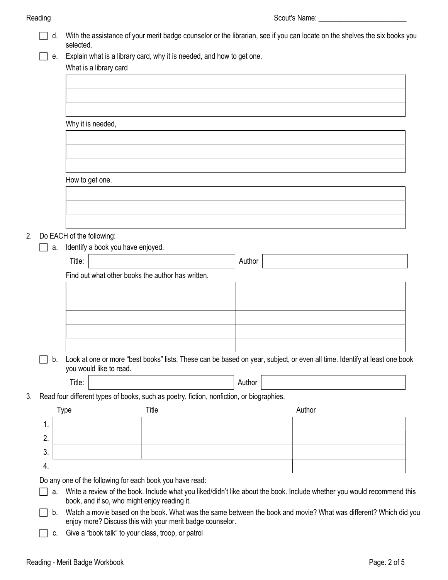|    |    | d. | selected.                                                                                                                    |       |  |        |        | With the assistance of your merit badge counselor or the librarian, see if you can locate on the shelves the six books you |  |
|----|----|----|------------------------------------------------------------------------------------------------------------------------------|-------|--|--------|--------|----------------------------------------------------------------------------------------------------------------------------|--|
|    |    | е. | Explain what is a library card, why it is needed, and how to get one.                                                        |       |  |        |        |                                                                                                                            |  |
|    |    |    | What is a library card                                                                                                       |       |  |        |        |                                                                                                                            |  |
|    |    |    |                                                                                                                              |       |  |        |        |                                                                                                                            |  |
|    |    |    |                                                                                                                              |       |  |        |        |                                                                                                                            |  |
|    |    |    |                                                                                                                              |       |  |        |        |                                                                                                                            |  |
|    |    |    |                                                                                                                              |       |  |        |        |                                                                                                                            |  |
|    |    |    | Why it is needed,                                                                                                            |       |  |        |        |                                                                                                                            |  |
|    |    |    |                                                                                                                              |       |  |        |        |                                                                                                                            |  |
|    |    |    |                                                                                                                              |       |  |        |        |                                                                                                                            |  |
|    |    |    |                                                                                                                              |       |  |        |        |                                                                                                                            |  |
|    |    |    | How to get one.                                                                                                              |       |  |        |        |                                                                                                                            |  |
|    |    |    |                                                                                                                              |       |  |        |        |                                                                                                                            |  |
|    |    |    |                                                                                                                              |       |  |        |        |                                                                                                                            |  |
|    |    |    |                                                                                                                              |       |  |        |        |                                                                                                                            |  |
|    |    |    |                                                                                                                              |       |  |        |        |                                                                                                                            |  |
| 2. |    |    | Do EACH of the following:                                                                                                    |       |  |        |        |                                                                                                                            |  |
|    |    | a. | Identify a book you have enjoyed.                                                                                            |       |  |        |        |                                                                                                                            |  |
|    |    |    | Title:                                                                                                                       |       |  | Author |        |                                                                                                                            |  |
|    |    |    | Find out what other books the author has written.                                                                            |       |  |        |        |                                                                                                                            |  |
|    |    |    |                                                                                                                              |       |  |        |        |                                                                                                                            |  |
|    |    |    |                                                                                                                              |       |  |        |        |                                                                                                                            |  |
|    |    |    |                                                                                                                              |       |  |        |        |                                                                                                                            |  |
|    |    |    |                                                                                                                              |       |  |        |        |                                                                                                                            |  |
|    |    |    |                                                                                                                              |       |  |        |        |                                                                                                                            |  |
|    |    |    |                                                                                                                              |       |  |        |        |                                                                                                                            |  |
|    |    |    | b. Look at one or more "best books" lists. These can be based on year, subject, or even all time. Identify at least one book |       |  |        |        |                                                                                                                            |  |
|    |    |    | you would like to read.                                                                                                      |       |  |        |        |                                                                                                                            |  |
|    |    |    | Title:                                                                                                                       |       |  | Author |        |                                                                                                                            |  |
| 3. |    |    | Read four different types of books, such as poetry, fiction, nonfiction, or biographies.                                     |       |  |        |        |                                                                                                                            |  |
|    |    |    | <b>Type</b>                                                                                                                  | Title |  |        | Author |                                                                                                                            |  |
|    |    |    |                                                                                                                              |       |  |        |        |                                                                                                                            |  |
|    | 1. |    |                                                                                                                              |       |  |        |        |                                                                                                                            |  |
|    | 2. |    |                                                                                                                              |       |  |        |        |                                                                                                                            |  |
|    | 3. |    |                                                                                                                              |       |  |        |        |                                                                                                                            |  |
|    | 4. |    |                                                                                                                              |       |  |        |        |                                                                                                                            |  |
|    |    |    | Do any one of the following for each book you have read:                                                                     |       |  |        |        |                                                                                                                            |  |
|    |    | a. |                                                                                                                              |       |  |        |        | Write a review of the book. Include what you liked/didn't like about the book. Include whether you would recommend this    |  |
|    |    |    | book, and if so, who might enjoy reading it.                                                                                 |       |  |        |        |                                                                                                                            |  |
|    |    | b. |                                                                                                                              |       |  |        |        | Watch a movie based on the book. What was the same between the book and movie? What was different? Which did you           |  |
|    |    |    | enjoy more? Discuss this with your merit badge counselor.                                                                    |       |  |        |        |                                                                                                                            |  |
|    |    | C. | Give a "book talk" to your class, troop, or patrol                                                                           |       |  |        |        |                                                                                                                            |  |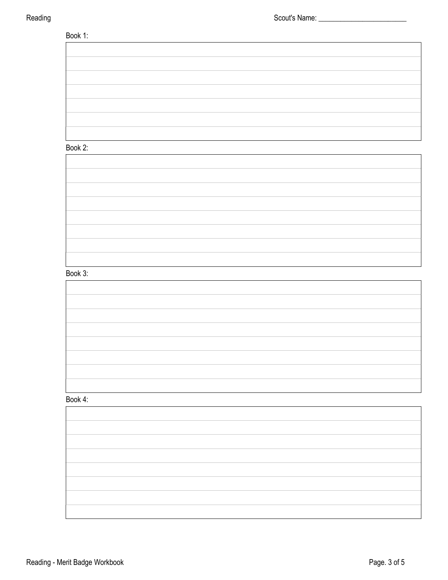## Book 1:

# Book 2:

### Book 3:

| ___ |  |
|-----|--|
|     |  |
|     |  |
|     |  |
|     |  |
|     |  |

### Book 4:

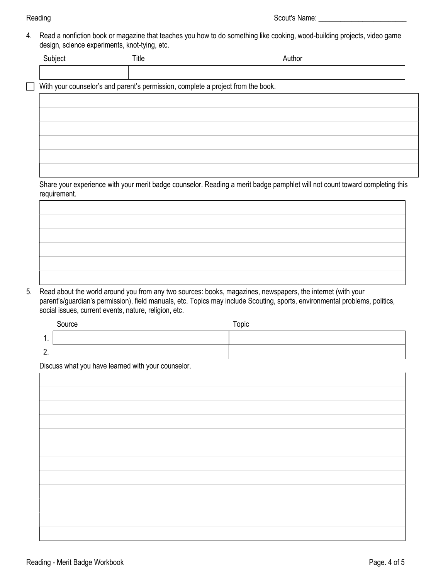4. Read a nonfiction book or magazine that teaches you how to do something like cooking, wood-building projects, video game design, science experiments, knot-tying, etc.

| Subject | Title                                                                            | Author                                                                                                                      |  |
|---------|----------------------------------------------------------------------------------|-----------------------------------------------------------------------------------------------------------------------------|--|
|         |                                                                                  |                                                                                                                             |  |
|         | With your counselor's and parent's permission, complete a project from the book. |                                                                                                                             |  |
|         |                                                                                  |                                                                                                                             |  |
|         |                                                                                  |                                                                                                                             |  |
|         |                                                                                  |                                                                                                                             |  |
|         |                                                                                  |                                                                                                                             |  |
|         |                                                                                  |                                                                                                                             |  |
|         |                                                                                  |                                                                                                                             |  |
|         |                                                                                  | Share your experience with your merit badge counselor. Reading a merit badge pamphlet will not count toward completing this |  |

5. Read about the world around you from any two sources: books, magazines, newspapers, the internet (with your parent's/guardian's permission), field manuals, etc. Topics may include Scouting, sports, environmental problems, politics, social issues, current events, nature, religion, etc.

|              | Source | Topic |
|--------------|--------|-------|
| . .          |        |       |
| $\sim$<br>L. |        |       |

Discuss what you have learned with your counselor.